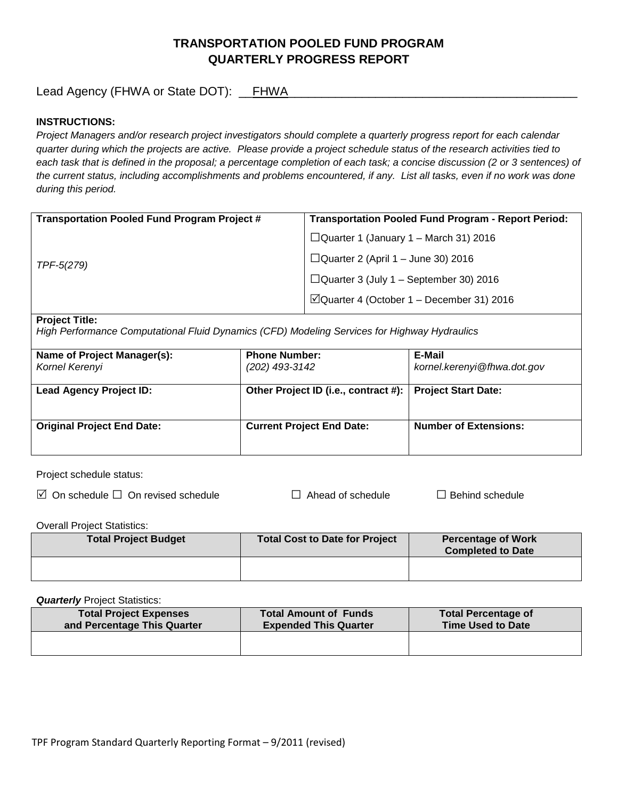# **TRANSPORTATION POOLED FUND PROGRAM QUARTERLY PROGRESS REPORT**

Lead Agency (FHWA or State DOT): \_\_FHWA\_\_\_\_\_\_\_\_\_\_\_\_\_\_\_\_\_\_\_\_\_\_\_\_\_\_\_\_\_\_\_\_\_\_\_\_\_\_\_\_\_\_\_

## **INSTRUCTIONS:**

*Project Managers and/or research project investigators should complete a quarterly progress report for each calendar quarter during which the projects are active. Please provide a project schedule status of the research activities tied to*  each task that is defined in the proposal; a percentage completion of each task; a concise discussion (2 or 3 sentences) of *the current status, including accomplishments and problems encountered, if any. List all tasks, even if no work was done during this period.*

| <b>Transportation Pooled Fund Program Project #</b> | <b>Transportation Pooled Fund Program - Report Period:</b> |
|-----------------------------------------------------|------------------------------------------------------------|
| TPF-5(279)                                          | $\Box$ Quarter 1 (January 1 – March 31) 2016               |
|                                                     | $\Box$ Quarter 2 (April 1 – June 30) 2016                  |
|                                                     | $\Box$ Quarter 3 (July 1 – September 30) 2016              |
|                                                     | $\Box$ Quarter 4 (October 1 – December 31) 2016            |
|                                                     |                                                            |

#### **Project Title:**

*High Performance Computational Fluid Dynamics (CFD) Modeling Services for Highway Hydraulics*

| Name of Project Manager(s):<br>Kornel Kerenyi | <b>Phone Number:</b><br>(202) 493-3142 | E-Mail<br>kornel.kerenyi@fhwa.dot.gov |
|-----------------------------------------------|----------------------------------------|---------------------------------------|
| <b>Lead Agency Project ID:</b>                | Other Project ID (i.e., contract #):   | <b>Project Start Date:</b>            |
| <b>Original Project End Date:</b>             | <b>Current Project End Date:</b>       | <b>Number of Extensions:</b>          |

Project schedule status:

 $\Box$  On schedule  $\Box$  On revised schedule □  $\Box$  Ahead of schedule  $\Box$  Behind schedule

Overall Project Statistics:

| <b>Total Project Budget</b> | Total Cost to Date for Project | <b>Percentage of Work</b><br><b>Completed to Date</b> |
|-----------------------------|--------------------------------|-------------------------------------------------------|
|                             |                                |                                                       |

**Quarterly** Project Statistics:

| <b>Total Project Expenses</b><br>and Percentage This Quarter | <b>Total Amount of Funds</b><br><b>Expended This Quarter</b> | <b>Total Percentage of</b><br><b>Time Used to Date</b> |
|--------------------------------------------------------------|--------------------------------------------------------------|--------------------------------------------------------|
|                                                              |                                                              |                                                        |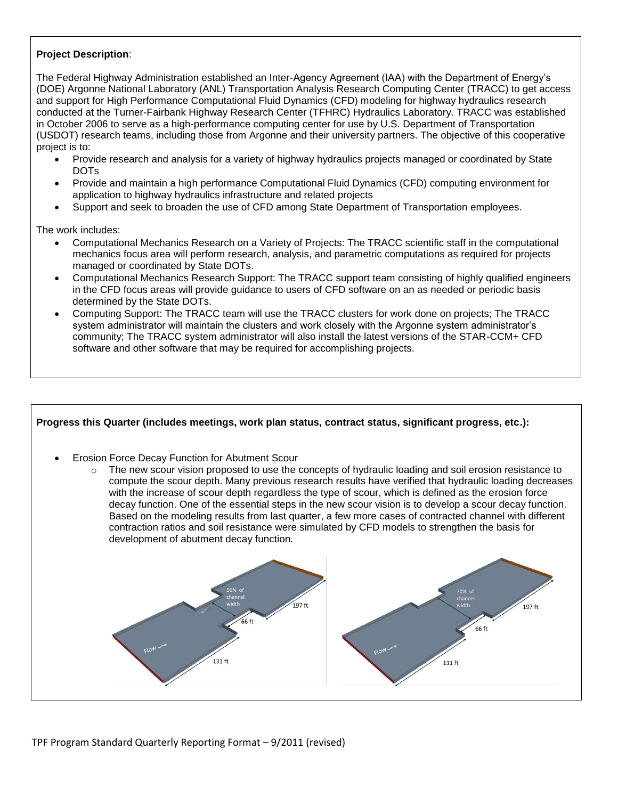## **Project Description**:

The Federal Highway Administration established an Inter-Agency Agreement (IAA) with the Department of Energy's (DOE) Argonne National Laboratory (ANL) Transportation Analysis Research Computing Center (TRACC) to get access and support for High Performance Computational Fluid Dynamics (CFD) modeling for highway hydraulics research conducted at the Turner-Fairbank Highway Research Center (TFHRC) Hydraulics Laboratory. TRACC was established in October 2006 to serve as a high-performance computing center for use by U.S. Department of Transportation (USDOT) research teams, including those from Argonne and their university partners. The objective of this cooperative project is to:

- Provide research and analysis for a variety of highway hydraulics projects managed or coordinated by State DOTs
- Provide and maintain a high performance Computational Fluid Dynamics (CFD) computing environment for application to highway hydraulics infrastructure and related projects
- Support and seek to broaden the use of CFD among State Department of Transportation employees.

The work includes:

- Computational Mechanics Research on a Variety of Projects: The TRACC scientific staff in the computational mechanics focus area will perform research, analysis, and parametric computations as required for projects managed or coordinated by State DOTs.
- Computational Mechanics Research Support: The TRACC support team consisting of highly qualified engineers in the CFD focus areas will provide guidance to users of CFD software on an as needed or periodic basis determined by the State DOTs.
- Computing Support: The TRACC team will use the TRACC clusters for work done on projects; The TRACC system administrator will maintain the clusters and work closely with the Argonne system administrator's community; The TRACC system administrator will also install the latest versions of the STAR-CCM+ CFD software and other software that may be required for accomplishing projects.

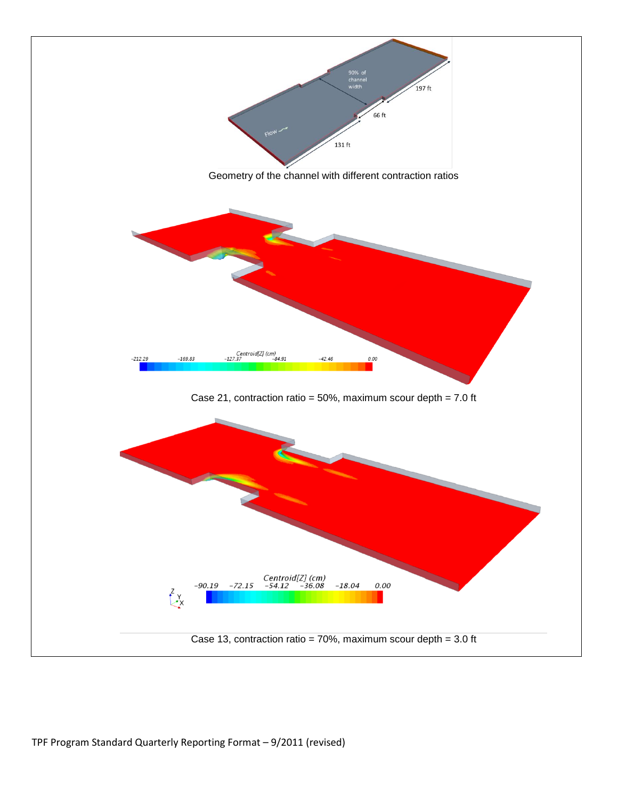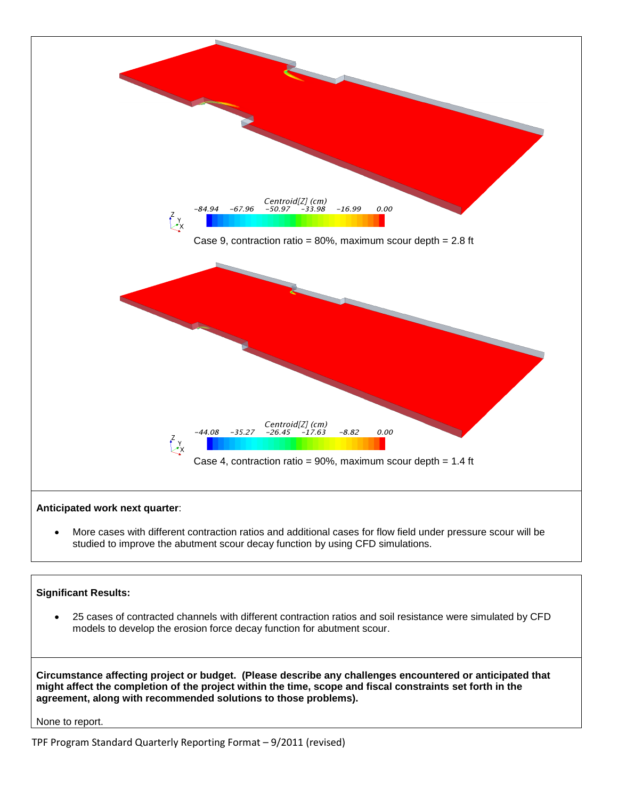

 More cases with different contraction ratios and additional cases for flow field under pressure scour will be studied to improve the abutment scour decay function by using CFD simulations.

# **Significant Results:**

 25 cases of contracted channels with different contraction ratios and soil resistance were simulated by CFD models to develop the erosion force decay function for abutment scour.

**Circumstance affecting project or budget. (Please describe any challenges encountered or anticipated that might affect the completion of the project within the time, scope and fiscal constraints set forth in the agreement, along with recommended solutions to those problems).**

None to report.

TPF Program Standard Quarterly Reporting Format – 9/2011 (revised)